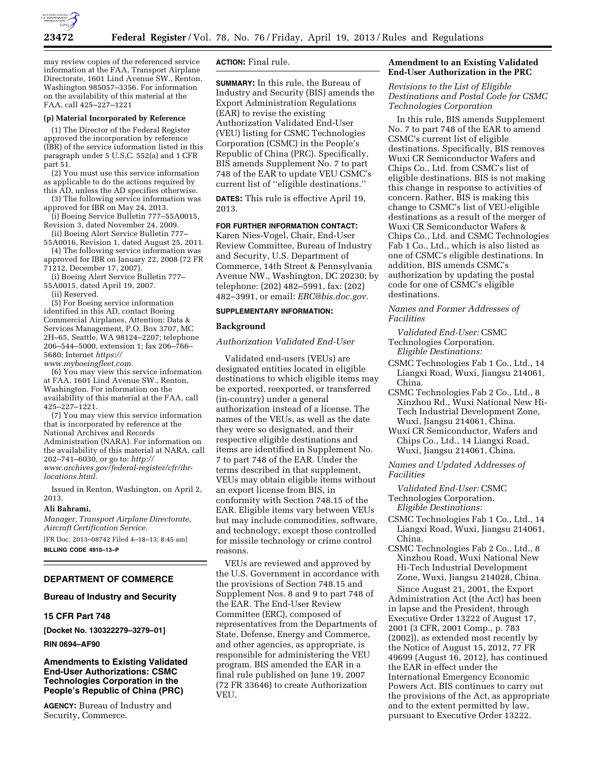

may review copies of the referenced service information at the FAA, Transport Airplane Directorate, 1601 Lind Avenue SW., Renton, Washington 985057–3356. For information on the availability of this material at the FAA, call 425–227–1221

# **(p) Material Incorporated by Reference**

(1) The Director of the Federal Register approved the incorporation by reference (IBR) of the service information listed in this paragraph under 5 U.S.C. 552(a) and 1 CFR part 51.

(2) You must use this service information as applicable to do the actions required by this AD, unless the AD specifies otherwise.

(3) The following service information was approved for IBR on May 24, 2013.

(i) Boeing Service Bulletin 777–55A0015, Revision 3, dated November 24, 2009.

(ii) Boeing Alert Service Bulletin 777– 55A0016, Revision 1, dated August 25, 2011.

(4) The following service information was approved for IBR on January 22, 2008 (72 FR

71212, December 17, 2007). (i) Boeing Alert Service Bulletin 777–

55A0015, dated April 19, 2007.

(ii) Reserved.

(5) For Boeing service information identified in this AD, contact Boeing Commercial Airplanes, Attention: Data & Services Management, P.O. Box 3707, MC 2H–65, Seattle, WA 98124–2207; telephone 206–544–5000, extension 1; fax 206–766– 5680; Internet *[https://](https://www.myboeingfleet.com) [www.myboeingfleet.com.](https://www.myboeingfleet.com)* 

(6) You may view this service information at FAA, 1601 Lind Avenue SW., Renton, Washington. For information on the availability of this material at the FAA, call 425–227–1221.

(7) You may view this service information that is incorporated by reference at the National Archives and Records Administration (NARA). For information on the availability of this material at NARA, call 202–741–6030, or go to: *[http://](http://www.archives.gov/federal-register/cfr/ibr-locations.html) [www.archives.gov/federal-register/cfr/ibr](http://www.archives.gov/federal-register/cfr/ibr-locations.html)[locations.html.](http://www.archives.gov/federal-register/cfr/ibr-locations.html)* 

Issued in Renton, Washington, on April 2, 2013.

#### **Ali Bahrami,**

*Manager, Transport Airplane Directorate, Aircraft Certification Service.* 

[FR Doc. 2013–08742 Filed 4–18–13; 8:45 am] **BILLING CODE 4910–13–P** 

#### **DEPARTMENT OF COMMERCE**

#### **Bureau of Industry and Security**

# **15 CFR Part 748**

**[Docket No. 130322279–3279–01]** 

## **RIN 0694–AF90**

# **Amendments to Existing Validated End-User Authorizations: CSMC Technologies Corporation in the People's Republic of China (PRC)**

**AGENCY:** Bureau of Industry and Security, Commerce.

# **ACTION:** Final rule.

**SUMMARY:** In this rule, the Bureau of Industry and Security (BIS) amends the Export Administration Regulations (EAR) to revise the existing Authorization Validated End-User (VEU) listing for CSMC Technologies Corporation (CSMC) in the People's Republic of China (PRC). Specifically, BIS amends Supplement No. 7 to part 748 of the EAR to update VEU CSMC's current list of ''eligible destinations.''

**DATES:** This rule is effective April 19, 2013.

# **FOR FURTHER INFORMATION CONTACT:**

Karen Nies-Vogel, Chair, End-User Review Committee, Bureau of Industry and Security, U.S. Department of Commerce, 14th Street & Pennsylvania Avenue NW., Washington, DC 20230; by telephone: (202) 482–5991, fax: (202) 482–3991, or email: *[ERC@bis.doc.gov.](mailto:ERC@bis.doc.gov)* 

#### **SUPPLEMENTARY INFORMATION:**

## **Background**

*Authorization Validated End-User* 

Validated end-users (VEUs) are designated entities located in eligible destinations to which eligible items may be exported, reexported, or transferred (in-country) under a general authorization instead of a license. The names of the VEUs, as well as the date they were so designated, and their respective eligible destinations and items are identified in Supplement No. 7 to part 748 of the EAR. Under the terms described in that supplement, VEUs may obtain eligible items without an export license from BIS, in conformity with Section 748.15 of the EAR. Eligible items vary between VEUs but may include commodities, software, and technology, except those controlled for missile technology or crime control reasons.

VEUs are reviewed and approved by the U.S. Government in accordance with the provisions of Section 748.15 and Supplement Nos. 8 and 9 to part 748 of the EAR. The End-User Review Committee (ERC), composed of representatives from the Departments of State, Defense, Energy and Commerce, and other agencies, as appropriate, is responsible for administering the VEU program. BIS amended the EAR in a final rule published on June 19, 2007 (72 FR 33646) to create Authorization VEU.

### **Amendment to an Existing Validated End-User Authorization in the PRC**

*Revisions to the List of Eligible Destinations and Postal Code for CSMC Technologies Corporation* 

In this rule, BIS amends Supplement No. 7 to part 748 of the EAR to amend CSMC's current list of eligible destinations. Specifically, BIS removes Wuxi CR Semiconductor Wafers and Chips Co., Ltd. from CSMC's list of eligible destinations. BIS is not making this change in response to activities of concern. Rather, BIS is making this change to CSMC's list of VEU-eligible destinations as a result of the merger of Wuxi CR Semiconductor Wafers & Chips Co., Ltd. and CSMC Technologies Fab 1 Co., Ltd., which is also listed as one of CSMC's eligible destinations. In addition, BIS amends CSMC's authorization by updating the postal code for one of CSMC's eligible destinations.

# *Names and Former Addresses of Facilities*

*Validated End-User:* CSMC Technologies Corporation. *Eligible Destinations:* 

- CSMC Technologies Fab 1 Co., Ltd., 14 Liangxi Road, Wuxi, Jiangsu 214061, China.
- CSMC Technologies Fab 2 Co., Ltd., 8 Xinzhou Rd., Wuxi National New Hi-Tech Industrial Development Zone, Wuxi, Jiangsu 214061, China.

Wuxi CR Semiconductor, Wafers and Chips Co., Ltd., 14 Liangxi Road, Wuxi, Jiangsu 214061, China.

*Names and Updated Addresses of Facilities* 

*Validated End-User:* CSMC Technologies Corporation.

- *Eligible Destinations:*
- CSMC Technologies Fab 1 Co., Ltd., 14 Liangxi Road, Wuxi, Jiangsu 214061, China.
- CSMC Technologies Fab 2 Co., Ltd., 8 Xinzhou Road, Wuxi National New Hi-Tech Industrial Development Zone, Wuxi, Jiangsu 214028, China.

Since August 21, 2001, the Export Administration Act (the Act) has been in lapse and the President, through Executive Order 13222 of August 17, 2001 (3 CFR, 2001 Comp., p. 783 (2002)), as extended most recently by the Notice of August 15, 2012, 77 FR 49699 (August 16, 2012), has continued the EAR in effect under the International Emergency Economic Powers Act. BIS continues to carry out the provisions of the Act, as appropriate and to the extent permitted by law, pursuant to Executive Order 13222.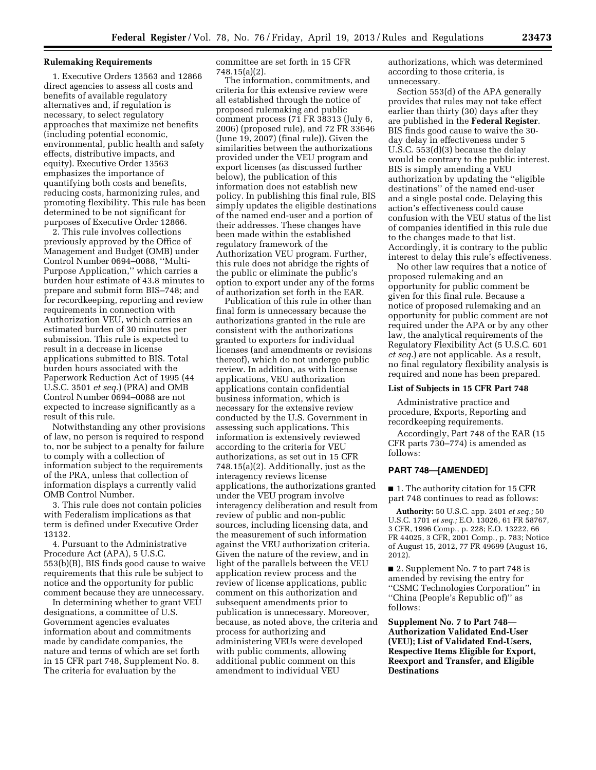#### **Rulemaking Requirements**

1. Executive Orders 13563 and 12866 direct agencies to assess all costs and benefits of available regulatory alternatives and, if regulation is necessary, to select regulatory approaches that maximize net benefits (including potential economic, environmental, public health and safety effects, distributive impacts, and equity). Executive Order 13563 emphasizes the importance of quantifying both costs and benefits, reducing costs, harmonizing rules, and promoting flexibility. This rule has been determined to be not significant for purposes of Executive Order 12866.

2. This rule involves collections previously approved by the Office of Management and Budget (OMB) under Control Number 0694–0088, ''Multi-Purpose Application,'' which carries a burden hour estimate of 43.8 minutes to prepare and submit form BIS–748; and for recordkeeping, reporting and review requirements in connection with Authorization VEU, which carries an estimated burden of 30 minutes per submission. This rule is expected to result in a decrease in license applications submitted to BIS. Total burden hours associated with the Paperwork Reduction Act of 1995 (44 U.S.C. 3501 *et seq.*) (PRA) and OMB Control Number 0694–0088 are not expected to increase significantly as a result of this rule.

Notwithstanding any other provisions of law, no person is required to respond to, nor be subject to a penalty for failure to comply with a collection of information subject to the requirements of the PRA, unless that collection of information displays a currently valid OMB Control Number.

3. This rule does not contain policies with Federalism implications as that term is defined under Executive Order 13132.

4. Pursuant to the Administrative Procedure Act (APA), 5 U.S.C. 553(b)(B), BIS finds good cause to waive requirements that this rule be subject to notice and the opportunity for public comment because they are unnecessary.

In determining whether to grant VEU designations, a committee of U.S. Government agencies evaluates information about and commitments made by candidate companies, the nature and terms of which are set forth in 15 CFR part 748, Supplement No. 8. The criteria for evaluation by the

committee are set forth in 15 CFR 748.15(a)(2).

The information, commitments, and criteria for this extensive review were all established through the notice of proposed rulemaking and public comment process (71 FR 38313 (July 6, 2006) (proposed rule), and 72 FR 33646 (June 19, 2007) (final rule)). Given the similarities between the authorizations provided under the VEU program and export licenses (as discussed further below), the publication of this information does not establish new policy. In publishing this final rule, BIS simply updates the eligible destinations of the named end-user and a portion of their addresses. These changes have been made within the established regulatory framework of the Authorization VEU program. Further, this rule does not abridge the rights of the public or eliminate the public's option to export under any of the forms of authorization set forth in the EAR.

Publication of this rule in other than final form is unnecessary because the authorizations granted in the rule are consistent with the authorizations granted to exporters for individual licenses (and amendments or revisions thereof), which do not undergo public review. In addition, as with license applications, VEU authorization applications contain confidential business information, which is necessary for the extensive review conducted by the U.S. Government in assessing such applications. This information is extensively reviewed according to the criteria for VEU authorizations, as set out in 15 CFR 748.15(a)(2). Additionally, just as the interagency reviews license applications, the authorizations granted under the VEU program involve interagency deliberation and result from review of public and non-public sources, including licensing data, and the measurement of such information against the VEU authorization criteria. Given the nature of the review, and in light of the parallels between the VEU application review process and the review of license applications, public comment on this authorization and subsequent amendments prior to publication is unnecessary. Moreover, because, as noted above, the criteria and process for authorizing and administering VEUs were developed with public comments, allowing additional public comment on this amendment to individual VEU

authorizations, which was determined according to those criteria, is unnecessary.

Section 553(d) of the APA generally provides that rules may not take effect earlier than thirty (30) days after they are published in the **Federal Register**. BIS finds good cause to waive the 30 day delay in effectiveness under 5 U.S.C. 553(d)(3) because the delay would be contrary to the public interest. BIS is simply amending a VEU authorization by updating the ''eligible destinations'' of the named end-user and a single postal code. Delaying this action's effectiveness could cause confusion with the VEU status of the list of companies identified in this rule due to the changes made to that list. Accordingly, it is contrary to the public interest to delay this rule's effectiveness.

No other law requires that a notice of proposed rulemaking and an opportunity for public comment be given for this final rule. Because a notice of proposed rulemaking and an opportunity for public comment are not required under the APA or by any other law, the analytical requirements of the Regulatory Flexibility Act (5 U.S.C. 601 *et seq.*) are not applicable. As a result, no final regulatory flexibility analysis is required and none has been prepared.

# **List of Subjects in 15 CFR Part 748**

Administrative practice and procedure, Exports, Reporting and recordkeeping requirements.

Accordingly, Part 748 of the EAR (15 CFR parts 730–774) is amended as follows:

# **PART 748—[AMENDED]**

■ 1. The authority citation for 15 CFR part 748 continues to read as follows:

**Authority:** 50 U.S.C. app. 2401 *et seq.;* 50 U.S.C. 1701 *et seq.;* E.O. 13026, 61 FR 58767, 3 CFR, 1996 Comp., p. 228; E.O. 13222, 66 FR 44025, 3 CFR, 2001 Comp., p. 783; Notice of August 15, 2012, 77 FR 49699 (August 16, 2012).

■ 2. Supplement No. 7 to part 748 is amended by revising the entry for ''CSMC Technologies Corporation'' in ''China (People's Republic of)'' as follows:

**Supplement No. 7 to Part 748— Authorization Validated End-User (VEU); List of Validated End-Users, Respective Items Eligible for Export, Reexport and Transfer, and Eligible Destinations**